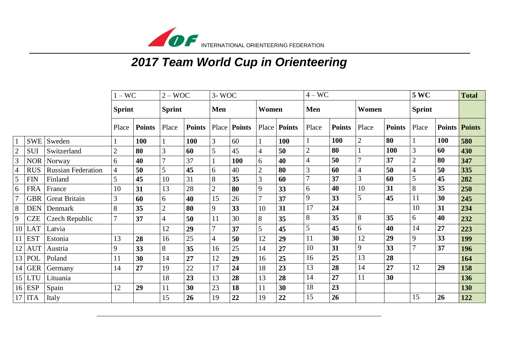

## *2017 Team World Cup in Orienteering*

|                |            | $-$ WC                    |                | $2 - WOC$     |                | 3-WOC         |                |               |                | $4 - WC$      |                  |               |                | <b>5 WC</b>   |                | <b>Total</b> |                      |
|----------------|------------|---------------------------|----------------|---------------|----------------|---------------|----------------|---------------|----------------|---------------|------------------|---------------|----------------|---------------|----------------|--------------|----------------------|
|                |            | <b>Sprint</b>             |                | <b>Sprint</b> |                | Men           |                | Women         |                | <b>Men</b>    |                  | Women         |                | <b>Sprint</b> |                |              |                      |
|                |            |                           | Place          | <b>Points</b> | Place          | <b>Points</b> | Place          | <b>Points</b> | Place          | <b>Points</b> | Place            | <b>Points</b> | Place          | <b>Points</b> | Place          |              | <b>Points Points</b> |
|                | <b>SWE</b> | Sweden                    |                | 100           |                | 100           | 3              | 60            |                | 100           |                  | 100           | $\overline{2}$ | 80            |                | 100          | 580                  |
| $\overline{2}$ | <b>SUI</b> | Switzerland               | $\overline{2}$ | 80            | 3              | 60            | 5              | 45            | 4              | 50            | $\overline{2}$   | 80            |                | 100           | 3              | 60           | 430                  |
| 3              | <b>NOR</b> | Norway                    | 6              | 40            | $\overline{7}$ | 37            |                | 100           | 6              | 40            | 4                | 50            | 7              | 37            | $\overline{2}$ | 80           | 347                  |
| $\overline{4}$ | <b>RUS</b> | <b>Russian Federation</b> | 4              | 50            | 5              | 45            | 6              | 40            | $\overline{2}$ | 80            | 3                | 60            | $\overline{4}$ | 50            | 4              | 50           | 335                  |
| 5              | <b>FIN</b> | Finland                   | 5              | 45            | 10             | 31            | 8              | 35            | 3              | 60            | $\overline{ }$   | 37            | 3              | 60            | 5              | 45           | 282                  |
| 6              | <b>FRA</b> | France                    | 10             | 31            | 13             | 28            | $\overline{2}$ | 80            | 9              | 33            | 6                | 40            | 10             | 31            | 8              | 35           | 250                  |
|                | <b>GBR</b> | <b>Great Britain</b>      | 3              | 60            | 6              | 40            | 15             | 26            | 7              | 37            | 9                | 33            | 5              | 45            | 11             | 30           | 245                  |
| 8              | <b>DEN</b> | Denmark                   | 8              | 35            | $\overline{2}$ | 80            | 9              | 33            | 10             | 31            | 17               | 24            |                |               | 10             | 31           | 234                  |
| 9              | <b>CZE</b> | Czech Republic            |                | 37            | $\overline{4}$ | 50            | 11             | 30            | 8              | 35            | 8                | 35            | 8              | 35            | 6              | 40           | 232                  |
| 10             | <b>LAT</b> | Latvia                    |                |               | 12             | 29            | $\overline{7}$ | 37            | 5              | 45            | 5                | 45            | 6              | 40            | 14             | 27           | 223                  |
|                | <b>EST</b> | Estonia                   | 13             | 28            | 16             | 25            | $\overline{4}$ | 50            | 12             | 29            | 11               | 30            | 12             | 29            | 9              | 33           | 199                  |
| 12             | <b>AUT</b> | Austria                   | 9              | 33            | 8              | 35            | 16             | 25            | 14             | 27            | 10               | 31            | 9              | 33            | $\overline{7}$ | 37           | 196                  |
| 13             | <b>POL</b> | Poland                    | 11             | 30            | 14             | 27            | 12             | 29            | 16             | 25            | 16               | 25            | 13             | 28            |                |              | 164                  |
|                | $14$ GER   | Germany                   | 14             | 27            | 19             | 22            | 17             | 24            | 18             | 23            | 13               | 28            | 14             | 27            | 12             | 29           | 158                  |
| 15             | <b>LTU</b> | Lituania                  |                |               | 18             | 23            | 13             | 28            | 13             | 28            | 14               | 27            | 11             | 30            |                |              | 136                  |
| 16             | <b>ESP</b> | Spain                     | 12             | 29            | 11             | 30            | 23             | 18            | 11             | 30            | 18               | 23            |                |               |                |              | 130                  |
|                | <b>ITA</b> | Italy                     |                |               | 15             | 26            | 19             | 22            | 19             | 22            | 15 <sup>15</sup> | 26            |                |               | 15             | 26           | 122                  |

\_\_\_\_\_\_\_\_\_\_\_\_\_\_\_\_\_\_\_\_\_\_\_\_\_\_\_\_\_\_\_\_\_\_\_\_\_\_\_\_\_\_\_\_\_\_\_\_\_\_\_\_\_\_\_\_\_\_\_\_\_\_\_\_\_\_\_\_\_\_\_\_\_\_\_\_\_\_\_\_\_\_\_\_\_\_\_\_\_\_\_\_\_\_